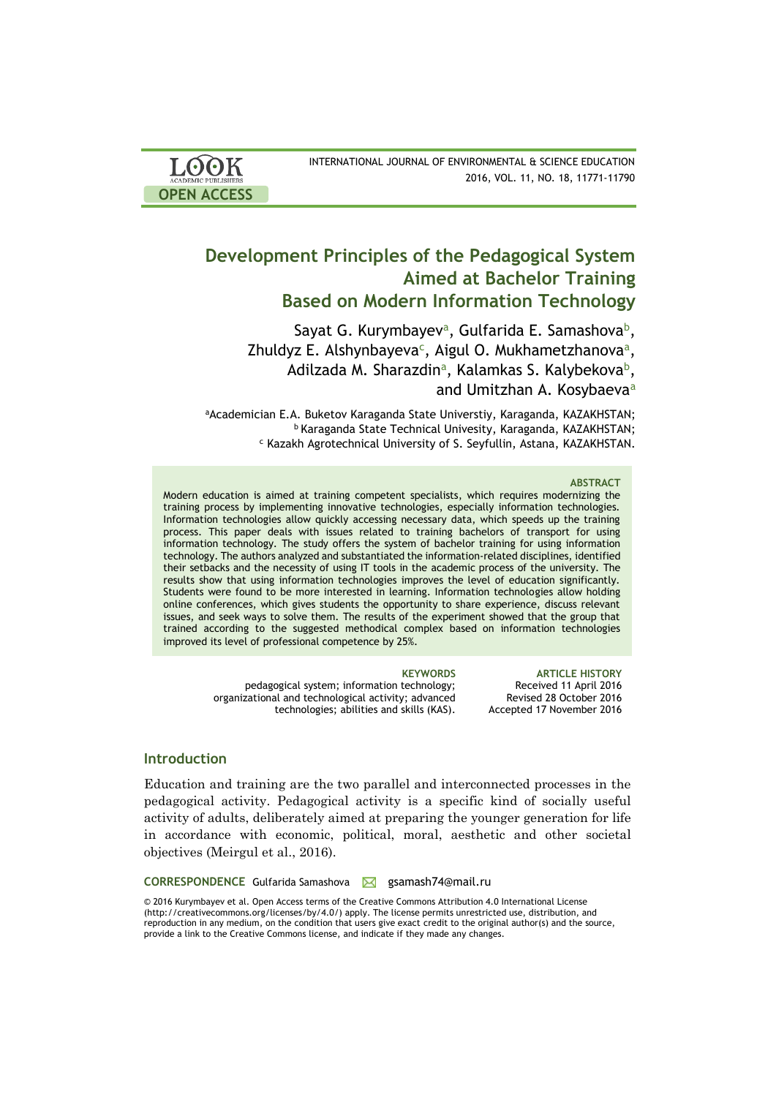| <b>LOOK</b>                | INTERNATIONAL JOURNAL OF ENVIRONMENTAL & SCIENCE EDUCATION |
|----------------------------|------------------------------------------------------------|
| <b>ACADEMIC PUBLISHERS</b> | 2016, VOL. 11, NO. 18, 11771-11790                         |
| <b>OPEN ACCESS</b>         |                                                            |

# **Development Principles of the Pedagogical System Aimed at Bachelor Training Based on Modern Information Technology**

Sayat G. Kurymbayev<sup>a</sup>, Gulfarida E. Samashova<sup>b</sup>, Zhuldyz E. Alshynbayeva<sup>c</sup>, Aigul O. Mukhametzhanova<sup>a</sup>, Adilzada M. Sharazdin<sup>a</sup>, Kalamkas S. Kalybekova<sup>b</sup>, and Umitzhan A. Kosybaeva<sup>a</sup>

aAcademician E.A. Buketov Karaganda State Universtiy, Karaganda, [KAZAKHSTAN;](https://en.wikipedia.org/wiki/Kazakhstan) b Karaganda State Technical Univesity, Karaganda, [KAZAKHSTAN;](https://en.wikipedia.org/wiki/Kazakhstan) <sup>c</sup> Kazakh Agrotechnical University of S. Seyfullin, Astana, [KAZAKHSTAN.](https://en.wikipedia.org/wiki/Kazakhstan)

### **ABSTRACT**

Modern education is aimed at training competent specialists, which requires modernizing the training process by implementing innovative technologies, especially information technologies. Information technologies allow quickly accessing necessary data, which speeds up the training process. This paper deals with issues related to training bachelors of transport for using information technology. The study offers the system of bachelor training for using information technology. The authors analyzed and substantiated the information-related disciplines, identified their setbacks and the necessity of using IT tools in the academic process of the university. The results show that using information technologies improves the level of education significantly. Students were found to be more interested in learning. Information technologies allow holding online conferences, which gives students the opportunity to share experience, discuss relevant issues, and seek ways to solve them. The results of the experiment showed that the group that trained according to the suggested methodical complex based on information technologies improved its level of professional competence by 25%.

> pedagogical system; information technology; organizational and technological activity; advanced technologies; abilities and skills (KAS).

**KEYWORDS ARTICLE HISTORY** Received 11 April 2016 Revised 28 October 2016 Accepted 17 November 2016

# **Introduction**

Education and training are the two parallel and interconnected processes in the pedagogical activity. Pedagogical activity is a specific kind of socially useful activity of adults, deliberately aimed at preparing the younger generation for life in accordance with economic, political, moral, aesthetic and other societal objectives (Meirgul et al., 2016).

**CORRESPONDENCE** Gulfarida Samashova **M** gsamash74@mail.ru

© 2016 Kurymbayev et al. Open Access terms of the Creative Commons Attribution 4.0 International License (http://creativecommons.org/licenses/by/4.0/) apply. The license permits unrestricted use, distribution, and reproduction in any medium, on the condition that users give exact credit to the original author(s) and the source, provide a link to the Creative Commons license, and indicate if they made any changes.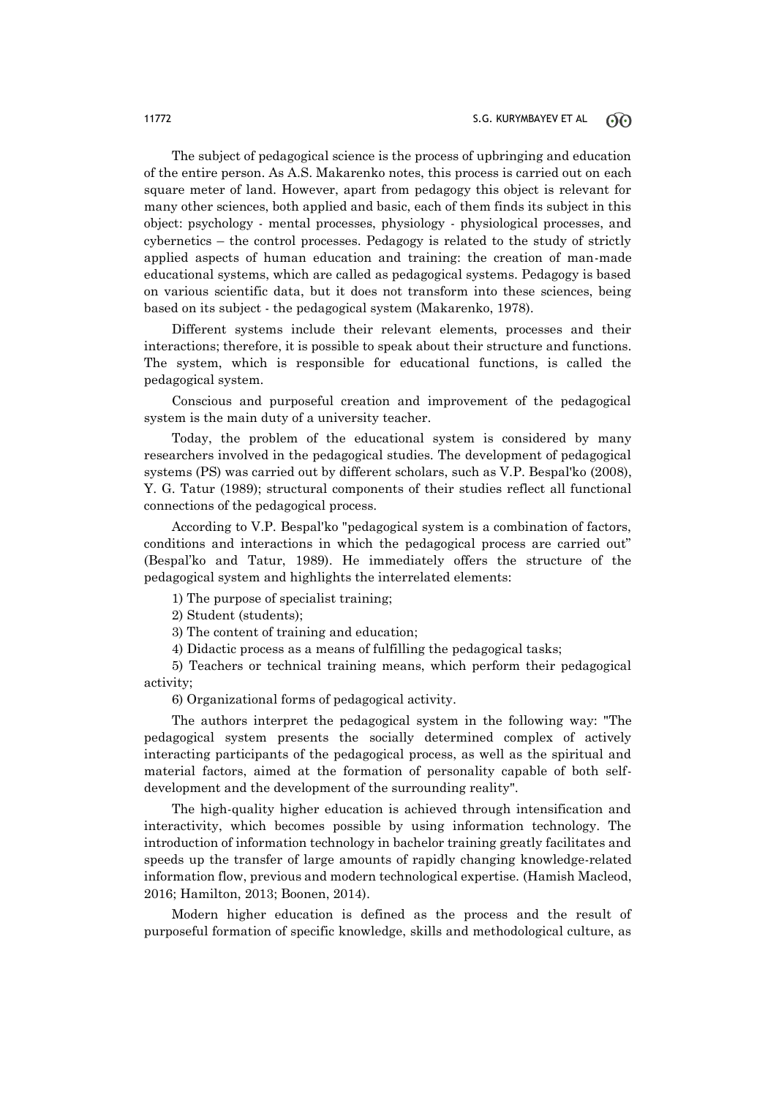The subject of pedagogical science is the process of upbringing and education of the entire person. As A.S. Makarenko notes, this process is carried out on each square meter of land. However, apart from pedagogy this object is relevant for many other sciences, both applied and basic, each of them finds its subject in this object: psychology - mental processes, physiology - physiological processes, and cybernetics – the control processes. Pedagogy is related to the study of strictly applied aspects of human education and training: the creation of man-made educational systems, which are called as pedagogical systems. Pedagogy is based on various scientific data, but it does not transform into these sciences, being based on its subject - the pedagogical system (Makarenko, 1978).

Different systems include their relevant elements, processes and their interactions; therefore, it is possible to speak about their structure and functions. The system, which is responsible for educational functions, is called the pedagogical system.

Conscious and purposeful creation and improvement of the pedagogical system is the main duty of a university teacher.

Today, the problem of the educational system is considered by many researchers involved in the pedagogical studies. The development of pedagogical systems (PS) was carried out by different scholars, such as V.P. Bespal'ko (2008), Y. G. Tatur (1989); structural components of their studies reflect all functional connections of the pedagogical process.

According to V.P. Bespal'ko "pedagogical system is a combination of factors, conditions and interactions in which the pedagogical process are carried out" (Bespal'ko and Tatur, 1989). He immediately offers the structure of the pedagogical system and highlights the interrelated elements:

1) The purpose of specialist training;

2) Student (students);

3) The content of training and education;

4) Didactic process as a means of fulfilling the pedagogical tasks;

5) Teachers or technical training means, which perform their pedagogical activity;

6) Organizational forms of pedagogical activity.

The authors interpret the pedagogical system in the following way: "The pedagogical system presents the socially determined complex of actively interacting participants of the pedagogical process, as well as the spiritual and material factors, aimed at the formation of personality capable of both selfdevelopment and the development of the surrounding reality".

The high-quality higher education is achieved through intensification and interactivity, which becomes possible by using information technology. The introduction of information technology in bachelor training greatly facilitates and speeds up the transfer of large amounts of rapidly changing knowledge-related information flow, previous and modern technological expertise. (Hamish Macleod, 2016; Hamilton, 2013; Boonen, 2014).

Modern higher education is defined as the process and the result of purposeful formation of specific knowledge, skills and methodological culture, as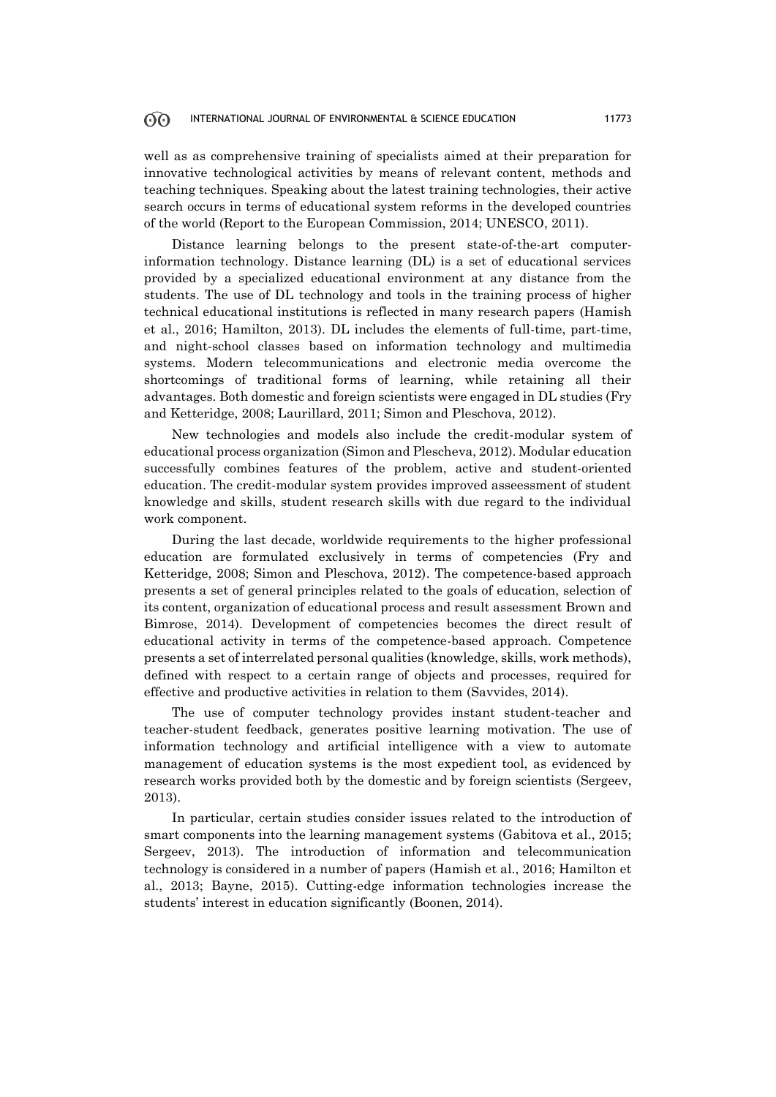well as as comprehensive training of specialists aimed at their preparation for innovative technological activities by means of relevant content, methods and teaching techniques. Speaking about the latest training technologies, their active search occurs in terms of educational system reforms in the developed countries of the world (Report to the European Commission, 2014; UNESCO, 2011).

Distance learning belongs to the present state-of-the-art computerinformation technology. Distance learning (DL) is a set of educational services provided by a specialized educational environment at any distance from the students. The use of DL technology and tools in the training process of higher technical educational institutions is reflected in many research papers (Hamish et al., 2016; Hamilton, 2013). DL includes the elements of full-time, part-time, and night-school classes based on information technology and multimedia systems. Modern telecommunications and electronic media overcome the shortcomings of traditional forms of learning, while retaining all their advantages. Both domestic and foreign scientists were engaged in DL studies (Fry and Ketteridge, 2008; Laurillard, 2011; Simon and Pleschova, 2012).

New technologies and models also include the credit-modular system of educational process organization (Simon and Plescheva, 2012). Modular education successfully combines features of the problem, active and student-oriented education. The credit-modular system provides improved asseessment of student knowledge and skills, student research skills with due regard to the individual work component.

During the last decade, worldwide requirements to the higher professional education are formulated exclusively in terms of competencies (Fry and Ketteridge, 2008; Simon and Pleschova, 2012). The competence-based approach presents a set of general principles related to the goals of education, selection of its content, organization of educational process and result assessment Brown and Bimrose, 2014). Development of competencies becomes the direct result of educational activity in terms of the competence-based approach. Competence presents a set of interrelated personal qualities (knowledge, skills, work methods), defined with respect to a certain range of objects and processes, required for effective and productive activities in relation to them (Savvides, 2014).

The use of computer technology provides instant student-teacher and teacher-student feedback, generates positive learning motivation. The use of information technology and artificial intelligence with a view to automate management of education systems is the most expedient tool, as evidenced by research works provided both by the domestic and by foreign scientists (Sergeev, 2013).

In particular, certain studies consider issues related to the introduction of smart components into the learning management systems (Gabitova et al., 2015; Sergeev, 2013). The introduction of information and telecommunication technology is considered in a number of papers (Hamish et al., 2016; Hamilton et al., 2013; Bayne, 2015). Cutting-edge information technologies increase the students' interest in education significantly (Boonen, 2014).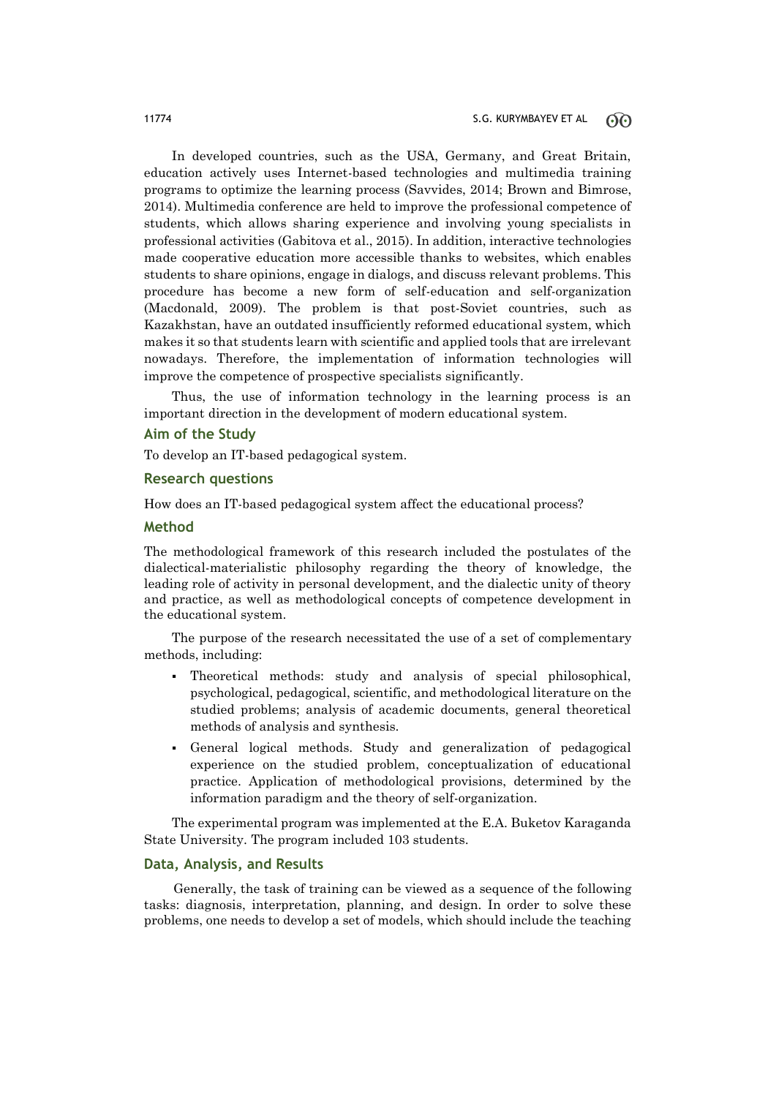In developed countries, such as the USA, Germany, and Great Britain, education actively uses Internet-based technologies and multimedia training programs to optimize the learning process (Savvides, 2014; Brown and Bimrose, 2014). Multimedia conference are held to improve the professional competence of students, which allows sharing experience and involving young specialists in professional activities (Gabitova et al., 2015). In addition, interactive technologies made cooperative education more accessible thanks to websites, which enables students to share opinions, engage in dialogs, and discuss relevant problems. This procedure has become a new form of self-education and self-organization (Macdonald, 2009). The problem is that post-Soviet countries, such as Kazakhstan, have an outdated insufficiently reformed educational system, which makes it so that students learn with scientific and applied tools that are irrelevant nowadays. Therefore, the implementation of information technologies will improve the competence of prospective specialists significantly.

Thus, the use of information technology in the learning process is an important direction in the development of modern educational system.

# **Aim of the Study**

To develop an IT-based pedagogical system.

# **Research questions**

How does an IT-based pedagogical system affect the educational process?

### **Method**

The methodological framework of this research included the postulates of the dialectical-materialistic philosophy regarding the theory of knowledge, the leading role of activity in personal development, and the dialectic unity of theory and practice, as well as methodological concepts of competence development in the educational system.

The purpose of the research necessitated the use of a set of complementary methods, including:

- Theoretical methods: study and analysis of special philosophical, psychological, pedagogical, scientific, and methodological literature on the studied problems; analysis of academic documents, general theoretical methods of analysis and synthesis.
- General logical methods. Study and generalization of pedagogical experience on the studied problem, conceptualization of educational practice. Application of methodological provisions, determined by the information paradigm and the theory of self-organization.

The experimental program was implemented at the E.A. Buketov Karaganda State University. The program included 103 students.

### **Data, Analysis, and Results**

Generally, the task of training can be viewed as a sequence of the following tasks: diagnosis, interpretation, planning, and design. In order to solve these problems, one needs to develop a set of models, which should include the teaching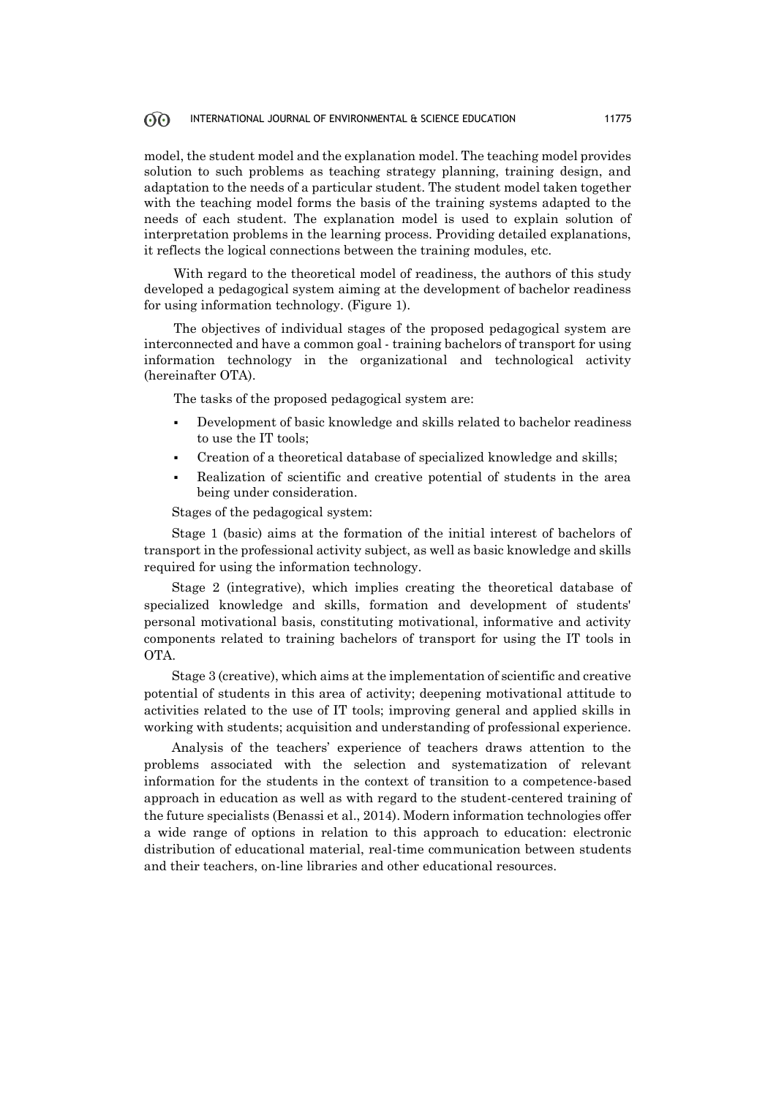model, the student model and the explanation model. The teaching model provides solution to such problems as teaching strategy planning, training design, and adaptation to the needs of a particular student. The student model taken together with the teaching model forms the basis of the training systems adapted to the needs of each student. The explanation model is used to explain solution of interpretation problems in the learning process. Providing detailed explanations, it reflects the logical connections between the training modules, etc.

With regard to the theoretical model of readiness, the authors of this study developed a pedagogical system aiming at the development of bachelor readiness for using information technology. (Figure 1).

The objectives of individual stages of the proposed pedagogical system are interconnected and have a common goal - training bachelors of transport for using information technology in the organizational and technological activity (hereinafter OTA).

The tasks of the proposed pedagogical system are:

- Development of basic knowledge and skills related to bachelor readiness to use the IT tools;
- Creation of a theoretical database of specialized knowledge and skills;
- Realization of scientific and creative potential of students in the area being under consideration.

Stages of the pedagogical system:

Stage 1 (basic) aims at the formation of the initial interest of bachelors of transport in the professional activity subject, as well as basic knowledge and skills required for using the information technology.

Stage 2 (integrative), which implies creating the theoretical database of specialized knowledge and skills, formation and development of students' personal motivational basis, constituting motivational, informative and activity components related to training bachelors of transport for using the IT tools in OTA.

Stage 3 (creative), which aims at the implementation of scientific and creative potential of students in this area of activity; deepening motivational attitude to activities related to the use of IT tools; improving general and applied skills in working with students; acquisition and understanding of professional experience.

Analysis of the teachers' experience of teachers draws attention to the problems associated with the selection and systematization of relevant information for the students in the context of transition to a competence-based approach in education as well as with regard to the student-centered training of the future specialists (Benassi et al., 2014). Modern information technologies offer a wide range of options in relation to this approach to education: electronic distribution of educational material, real-time communication between students and their teachers, on-line libraries and other educational resources.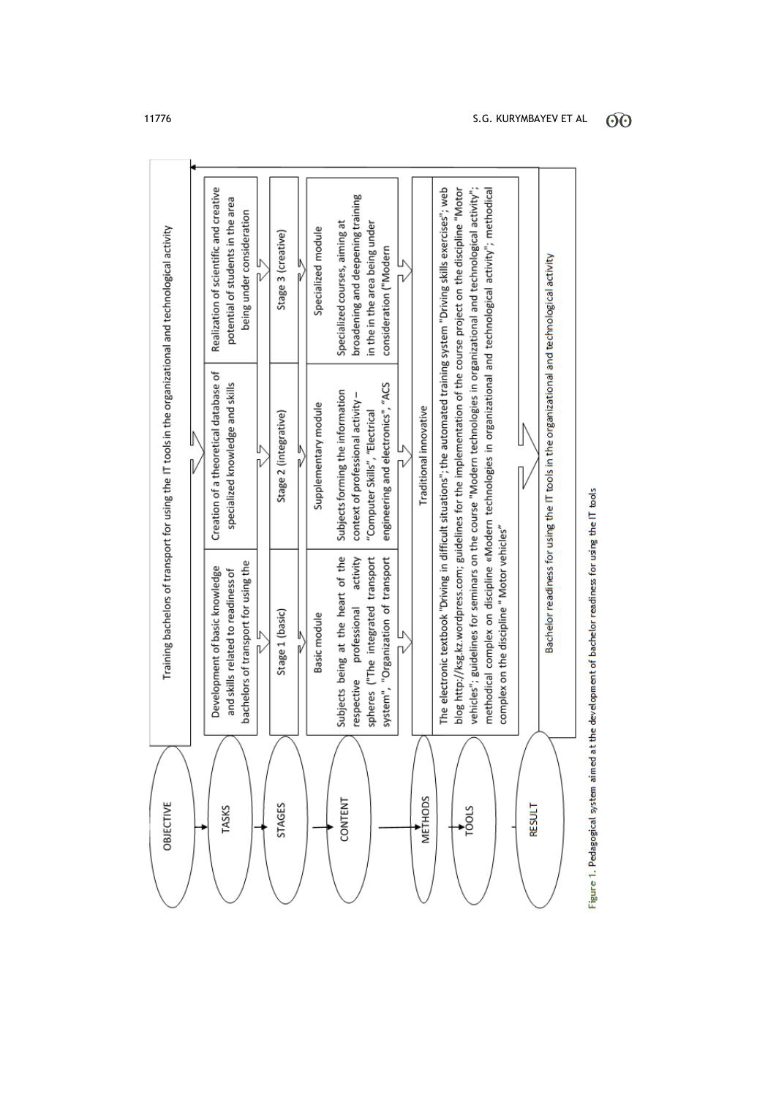|                                                                                                         | Realization of scientific and creative<br>potential of students in the area<br>being under consideration     | Stage 3 (creative)    | Specialized module   | broadening and deepening training<br>Specialized courses, aiming at<br>in the in the area being under              | consideration ("Modern              |                        |                                                                                                                                                                                                                                                                                                                                                                                                                                                                                           |               |                                                                                            |
|---------------------------------------------------------------------------------------------------------|--------------------------------------------------------------------------------------------------------------|-----------------------|----------------------|--------------------------------------------------------------------------------------------------------------------|-------------------------------------|------------------------|-------------------------------------------------------------------------------------------------------------------------------------------------------------------------------------------------------------------------------------------------------------------------------------------------------------------------------------------------------------------------------------------------------------------------------------------------------------------------------------------|---------------|--------------------------------------------------------------------------------------------|
| Training bachelors of transport for using the IT tools in the organizational and technological activity | Creation of a theoretical database of<br>specialized knowledge and skills                                    | Stage 2 (integrative) | Supplementary module | Subjects forming the information<br>context of professional activity-<br>"Computer Skills", "Electrical            | engineering and electronics", "ACS  | Traditional innovative | The electronic textbook "Driving in difficult situations"; the automated training system "Driving skills exercises"; web<br>blog http://ksg.kz.wordpress.com; guidelines for the implementation of the course project on the discipline "Motor<br>vehicles"; guidelines for seminars on the course "Modern technologies in organizational and technological activity";<br>methodical complex on discipline «Modern technologies in organizational and technological activity"; methodical |               | Bachelor readiness for using the IT tools in the organizational and technological activity |
|                                                                                                         | bachelors of transport for using the<br>Development of basic knowledge<br>and skills related to readiness of | Stage 1 (basic)       | Basic module         | Subjects being at the heart of the<br>activity<br>spheres ("The integrated transport<br>professional<br>respective | system", "Organization of transport |                        | complex on the discipline " Motor vehicles"                                                                                                                                                                                                                                                                                                                                                                                                                                               |               |                                                                                            |
| OBJECTIVE                                                                                               | TASKS                                                                                                        | <b>STAGES</b>         |                      | CONTENT                                                                                                            |                                     | METHODS                | TOOLS                                                                                                                                                                                                                                                                                                                                                                                                                                                                                     | <b>RESULT</b> |                                                                                            |

Figure 1. Pedagogical system aimed at the development of bachelor readiness for using the IT tools

11776 S.G. KURYMBAYEV ET AL  $\widehat{O}$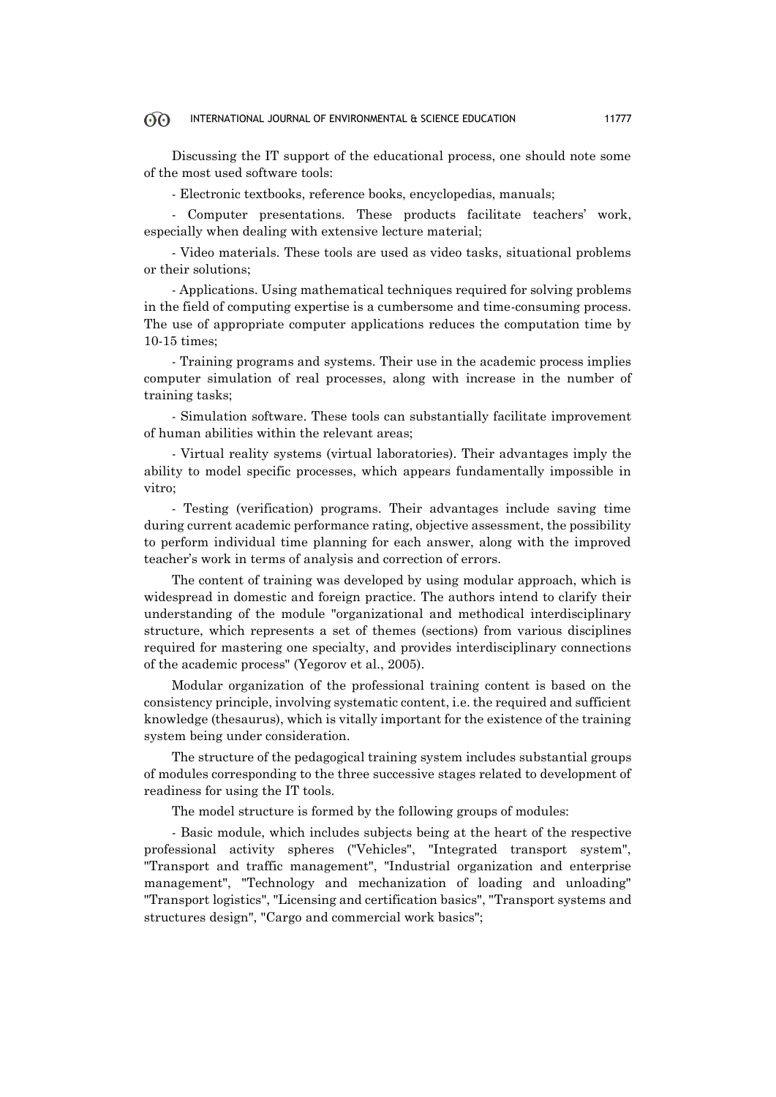Discussing the IT support of the educational process, one should note some of the most used software tools:

- Electronic textbooks, reference books, encyclopedias, manuals;

- Computer presentations. These products facilitate teachers' work, especially when dealing with extensive lecture material;

- Video materials. These tools are used as video tasks, situational problems or their solutions;

- Applications. Using mathematical techniques required for solving problems in the field of computing expertise is a cumbersome and time-consuming process. The use of appropriate computer applications reduces the computation time by 10-15 times;

- Training programs and systems. Their use in the academic process implies computer simulation of real processes, along with increase in the number of training tasks;

- Simulation software. These tools can substantially facilitate improvement of human abilities within the relevant areas;

- Virtual reality systems (virtual laboratories). Their advantages imply the ability to model specific processes, which appears fundamentally impossible in vitro;

- Testing (verification) programs. Their advantages include saving time during current academic performance rating, objective assessment, the possibility to perform individual time planning for each answer, along with the improved teacher's work in terms of analysis and correction of errors.

The content of training was developed by using modular approach, which is widespread in domestic and foreign practice. The authors intend to clarify their understanding of the module "organizational and methodical interdisciplinary structure, which represents a set of themes (sections) from various disciplines required for mastering one specialty, and provides interdisciplinary connections of the academic process" (Yegorov et al., 2005).

Modular organization of the professional training content is based on the consistency principle, involving systematic content, i.e. the required and sufficient knowledge (thesaurus), which is vitally important for the existence of the training system being under consideration.

The structure of the pedagogical training system includes substantial groups of modules corresponding to the three successive stages related to development of readiness for using the IT tools.

The model structure is formed by the following groups of modules:

- Basic module, which includes subjects being at the heart of the respective professional activity spheres ("Vehicles", "Integrated transport system", "Transport and traffic management", "Industrial organization and enterprise management", "Technology and mechanization of loading and unloading" "Transport logistics", "Licensing and certification basics", "Transport systems and structures design", "Cargo and commercial work basics";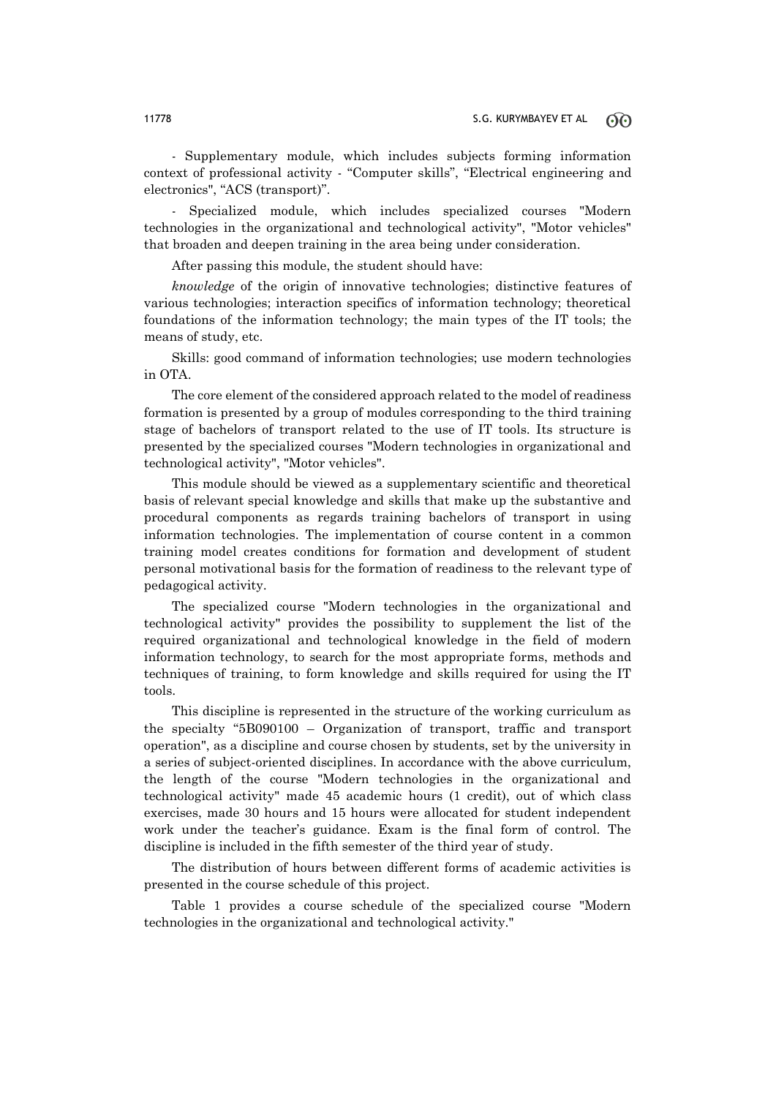- Supplementary module, which includes subjects forming information context of professional activity - "Computer skills", "Electrical engineering and electronics", "АСS (transport)".

- Specialized module, which includes specialized courses "Modern technologies in the organizational and technological activity", "Motor vehicles" that broaden and deepen training in the area being under consideration.

After passing this module, the student should have:

*knowledge* of the origin of innovative technologies; distinctive features of various technologies; interaction specifics of information technology; theoretical foundations of the information technology; the main types of the IT tools; the means of study, etc.

Skills: good command of information technologies; use modern technologies in OTA.

The core element of the considered approach related to the model of readiness formation is presented by a group of modules corresponding to the third training stage of bachelors of transport related to the use of IT tools. Its structure is presented by the specialized courses "Modern technologies in organizational and technological activity", "Motor vehicles".

This module should be viewed as a supplementary scientific and theoretical basis of relevant special knowledge and skills that make up the substantive and procedural components as regards training bachelors of transport in using information technologies. The implementation of course content in a common training model creates conditions for formation and development of student personal motivational basis for the formation of readiness to the relevant type of pedagogical activity.

The specialized course "Modern technologies in the organizational and technological activity" provides the possibility to supplement the list of the required organizational and technological knowledge in the field of modern information technology, to search for the most appropriate forms, methods and techniques of training, to form knowledge and skills required for using the IT tools.

This discipline is represented in the structure of the working curriculum as the specialty "5B090100 – Organization of transport, traffic and transport operation", as a discipline and course chosen by students, set by the university in a series of subject-oriented disciplines. In accordance with the above curriculum, the length of the course "Modern technologies in the organizational and technological activity" made 45 academic hours (1 credit), out of which class exercises, made 30 hours and 15 hours were allocated for student independent work under the teacher's guidance. Exam is the final form of control. The discipline is included in the fifth semester of the third year of study.

The distribution of hours between different forms of academic activities is presented in the course schedule of this project.

Table 1 provides a course schedule of the specialized course "Modern technologies in the organizational and technological activity."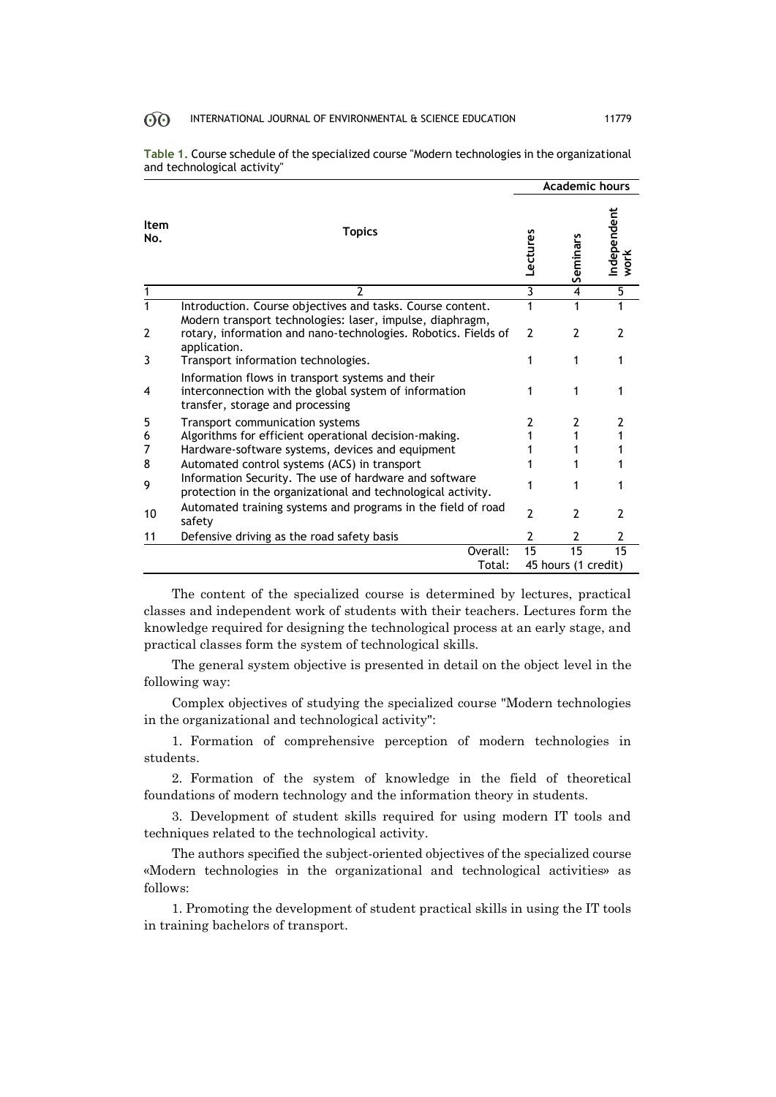|                |                                                                                                                                               | <b>Academic hours</b> |                     |                     |  |
|----------------|-----------------------------------------------------------------------------------------------------------------------------------------------|-----------------------|---------------------|---------------------|--|
| Item<br>No.    | <b>Topics</b>                                                                                                                                 | Lectures              | Seminars            | Independent<br>work |  |
|                | $\overline{\phantom{a}}$                                                                                                                      | 3                     | 4                   | 5                   |  |
|                | Introduction. Course objectives and tasks. Course content.<br>Modern transport technologies: laser, impulse, diaphragm,                       | 1                     |                     |                     |  |
| $\overline{2}$ | rotary, information and nano-technologies. Robotics. Fields of<br>application.                                                                | $\overline{2}$        | $\overline{2}$      | 2                   |  |
| 3              | Transport information technologies.                                                                                                           | 1                     | 1                   |                     |  |
| 4              | Information flows in transport systems and their<br>interconnection with the global system of information<br>transfer, storage and processing |                       | 1                   |                     |  |
| 5              | Transport communication systems                                                                                                               | 2                     | 2                   | 2                   |  |
| 6              | Algorithms for efficient operational decision-making.                                                                                         |                       |                     |                     |  |
| 7              | Hardware-software systems, devices and equipment                                                                                              |                       |                     |                     |  |
| 8              | Automated control systems (ACS) in transport                                                                                                  |                       |                     |                     |  |
| 9              | Information Security. The use of hardware and software<br>protection in the organizational and technological activity.                        |                       |                     |                     |  |
| 10             | Automated training systems and programs in the field of road<br>safety                                                                        | $\overline{2}$        | $\overline{2}$      | 2                   |  |
| 11             | Defensive driving as the road safety basis                                                                                                    | 2                     | 2                   | 2                   |  |
|                | Overall:                                                                                                                                      | 15                    | 15                  | 15                  |  |
|                | Total:                                                                                                                                        |                       | 45 hours (1 credit) |                     |  |

**Table 1.** Course schedule of the specialized course "Modern technologies in the organizational and technological activity"

The content of the specialized course is determined by lectures, practical classes and independent work of students with their teachers. Lectures form the knowledge required for designing the technological process at an early stage, and practical classes form the system of technological skills.

The general system objective is presented in detail on the object level in the following way:

Complex objectives of studying the specialized course "Modern technologies in the organizational and technological activity":

1. Formation of comprehensive perception of modern technologies in students.

2. Formation of the system of knowledge in the field of theoretical foundations of modern technology and the information theory in students.

3. Development of student skills required for using modern IT tools and techniques related to the technological activity.

The authors specified the subject-oriented objectives of the specialized course «Modern technologies in the organizational and technological activities» as follows:

1. Promoting the development of student practical skills in using the IT tools in training bachelors of transport.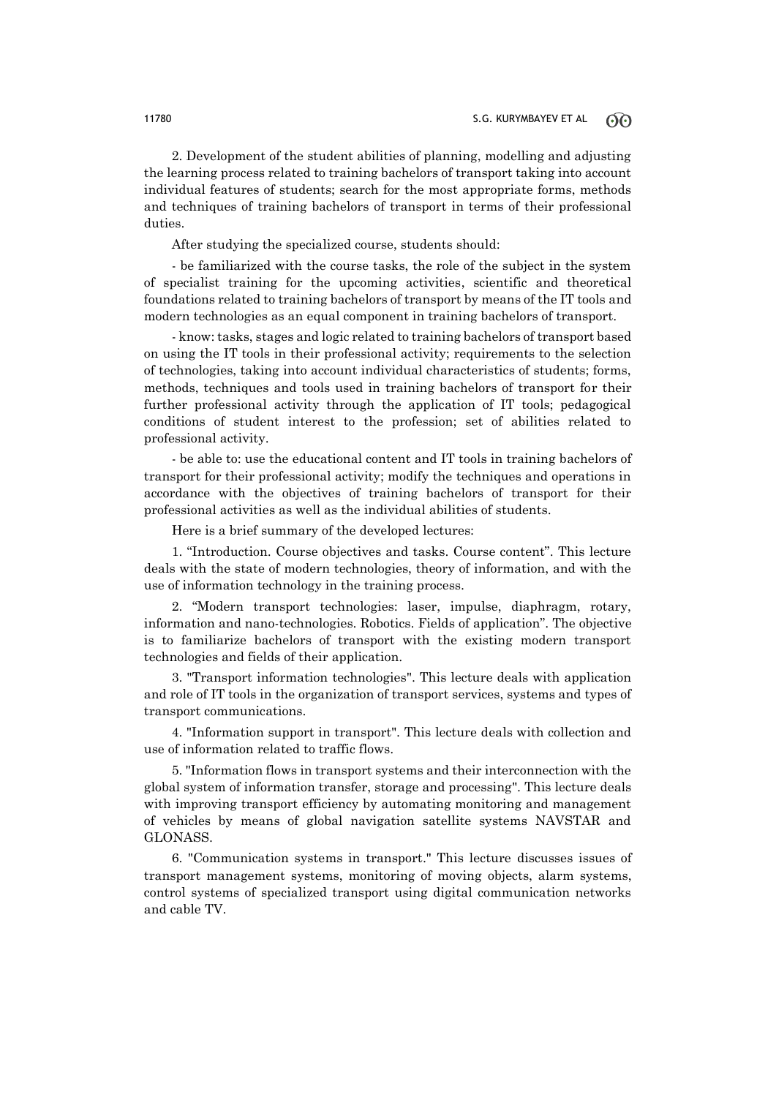2. Development of the student abilities of planning, modelling and adjusting the learning process related to training bachelors of transport taking into account individual features of students; search for the most appropriate forms, methods and techniques of training bachelors of transport in terms of their professional duties.

After studying the specialized course, students should:

- be familiarized with the course tasks, the role of the subject in the system of specialist training for the upcoming activities, scientific and theoretical foundations related to training bachelors of transport by means of the IT tools and modern technologies as an equal component in training bachelors of transport.

- know: tasks, stages and logic related to training bachelors of transport based on using the IT tools in their professional activity; requirements to the selection of technologies, taking into account individual characteristics of students; forms, methods, techniques and tools used in training bachelors of transport for their further professional activity through the application of IT tools; pedagogical conditions of student interest to the profession; set of abilities related to professional activity.

- be able to: use the educational content and IT tools in training bachelors of transport for their professional activity; modify the techniques and operations in accordance with the objectives of training bachelors of transport for their professional activities as well as the individual abilities of students.

Here is a brief summary of the developed lectures:

1. "Introduction. Course objectives and tasks. Course content". This lecture deals with the state of modern technologies, theory of information, and with the use of information technology in the training process.

2. "Modern transport technologies: laser, impulse, diaphragm, rotary, information and nano-technologies. Robotics. Fields of application". The objective is to familiarize bachelors of transport with the existing modern transport technologies and fields of their application.

3. "Transport information technologies". This lecture deals with application and role of IT tools in the organization of transport services, systems and types of transport communications.

4. "Information support in transport". This lecture deals with collection and use of information related to traffic flows.

5. "Information flows in transport systems and their interconnection with the global system of information transfer, storage and processing". This lecture deals with improving transport efficiency by automating monitoring and management of vehicles by means of global navigation satellite systems NAVSTAR and GLONASS.

6. "Communication systems in transport." This lecture discusses issues of transport management systems, monitoring of moving objects, alarm systems, control systems of specialized transport using digital communication networks and cable TV.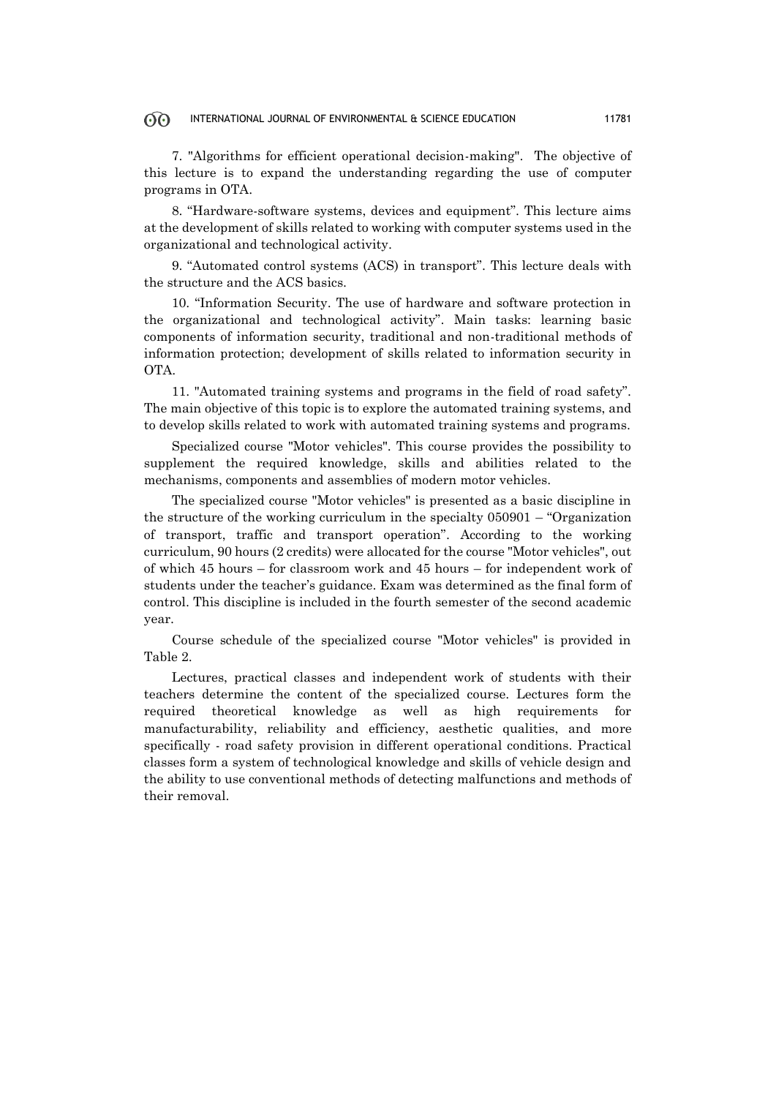7. "Algorithms for efficient operational decision-making". The objective of this lecture is to expand the understanding regarding the use of computer programs in OTA.

8. "Hardware-software systems, devices and equipment". This lecture aims at the development of skills related to working with computer systems used in the organizational and technological activity.

9. "Automated control systems (ACS) in transport". This lecture deals with the structure and the ACS basics.

10. "Information Security. The use of hardware and software protection in the organizational and technological activity". Main tasks: learning basic components of information security, traditional and non-traditional methods of information protection; development of skills related to information security in OTA.

11. "Automated training systems and programs in the field of road safety". The main objective of this topic is to explore the automated training systems, and to develop skills related to work with automated training systems and programs.

Specialized course "Motor vehicles". This course provides the possibility to supplement the required knowledge, skills and abilities related to the mechanisms, components and assemblies of modern motor vehicles.

The specialized course "Motor vehicles" is presented as a basic discipline in the structure of the working curriculum in the specialty 050901 – "Organization of transport, traffic and transport operation". According to the working curriculum, 90 hours (2 credits) were allocated for the course "Motor vehicles", out of which 45 hours – for classroom work and 45 hours – for independent work of students under the teacher's guidance. Exam was determined as the final form of control. This discipline is included in the fourth semester of the second academic year.

Course schedule of the specialized course "Motor vehicles" is provided in Table 2.

Lectures, practical classes and independent work of students with their teachers determine the content of the specialized course. Lectures form the required theoretical knowledge as well as high requirements for manufacturability, reliability and efficiency, aesthetic qualities, and more specifically - road safety provision in different operational conditions. Practical classes form a system of technological knowledge and skills of vehicle design and the ability to use conventional methods of detecting malfunctions and methods of their removal.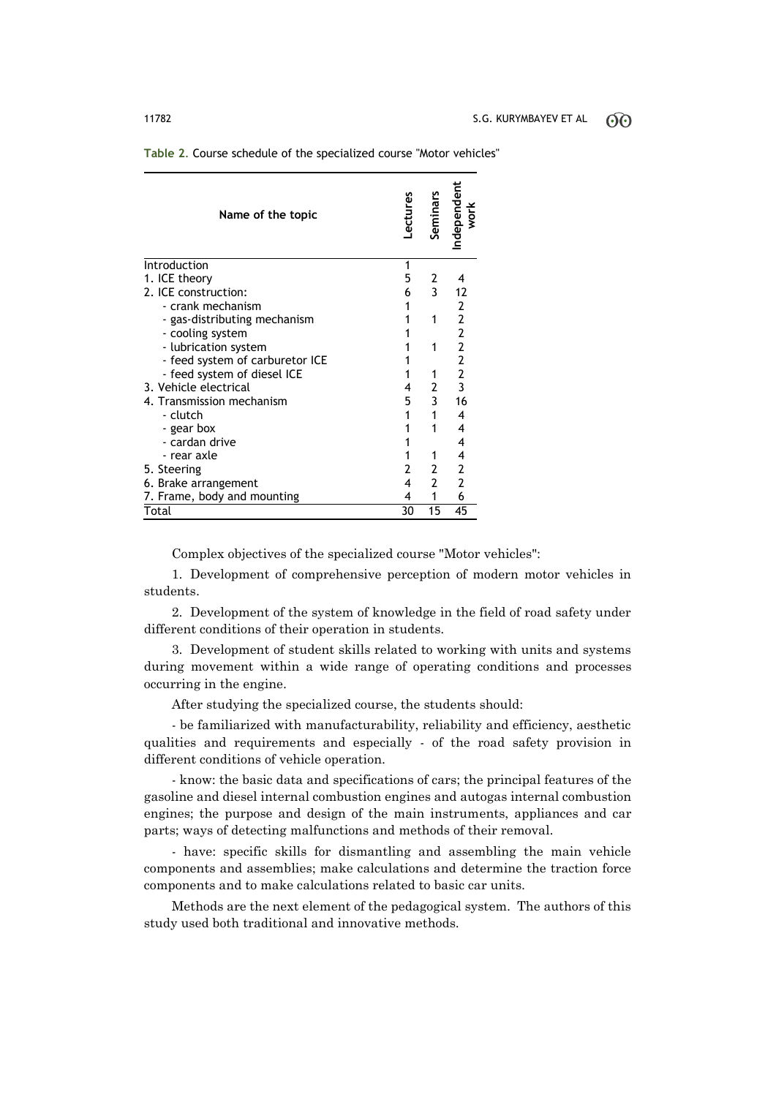| Name of the topic               | ectures | Seminars       | Independent<br>work     |
|---------------------------------|---------|----------------|-------------------------|
| Introduction                    | 1       |                |                         |
| 1. ICE theory                   | 5       | 2              |                         |
| 2. ICE construction:            | 6       | $\overline{3}$ | 12                      |
| - crank mechanism               | 1       |                | 2                       |
| - gas-distributing mechanism    | 1       | 1              | $\overline{\mathbf{c}}$ |
| - cooling system                | 1       |                | $\overline{\mathbf{c}}$ |
| - lubrication system            | 1       | 1              | $\overline{2}$          |
| - feed system of carburetor ICE | 1       |                | $\overline{\mathbf{c}}$ |
| - feed system of diesel ICE     |         |                | $\overline{2}$          |
| 3. Vehicle electrical           | 4       | $\mathbf{2}$   | $\overline{3}$          |
| 4. Transmission mechanism       | 5       | $\overline{3}$ | 16                      |
| - clutch                        | 1       | $\mathbf{1}$   | 4                       |
| - gear box                      | 1       | 1              | 4                       |
| - cardan drive                  | 1       |                | 4                       |
| - rear axle                     | 1       | 1              | 4                       |
| 5. Steering                     | 2       | 2              | 2                       |
| 6. Brake arrangement            | 4       | $\mathbf{2}$   | $\overline{2}$          |
| 7. Frame, body and mounting     | 4       | $\mathbf{1}$   | 6                       |
| Total                           | 30      | 15             | 45                      |

**Table 2**. Course schedule of the specialized course "Motor vehicles"

Complex objectives of the specialized course "Motor vehicles":

1. Development of comprehensive perception of modern motor vehicles in students.

2. Development of the system of knowledge in the field of road safety under different conditions of their operation in students.

3. Development of student skills related to working with units and systems during movement within a wide range of operating conditions and processes occurring in the engine.

After studying the specialized course, the students should:

- be familiarized with manufacturability, reliability and efficiency, aesthetic qualities and requirements and especially - of the road safety provision in different conditions of vehicle operation.

- know: the basic data and specifications of cars; the principal features of the gasoline and diesel internal combustion engines and autogas internal combustion engines; the purpose and design of the main instruments, appliances and car parts; ways of detecting malfunctions and methods of their removal.

- have: specific skills for dismantling and assembling the main vehicle components and assemblies; make calculations and determine the traction force components and to make calculations related to basic car units.

Methods are the next element of the pedagogical system. The authors of this study used both traditional and innovative methods.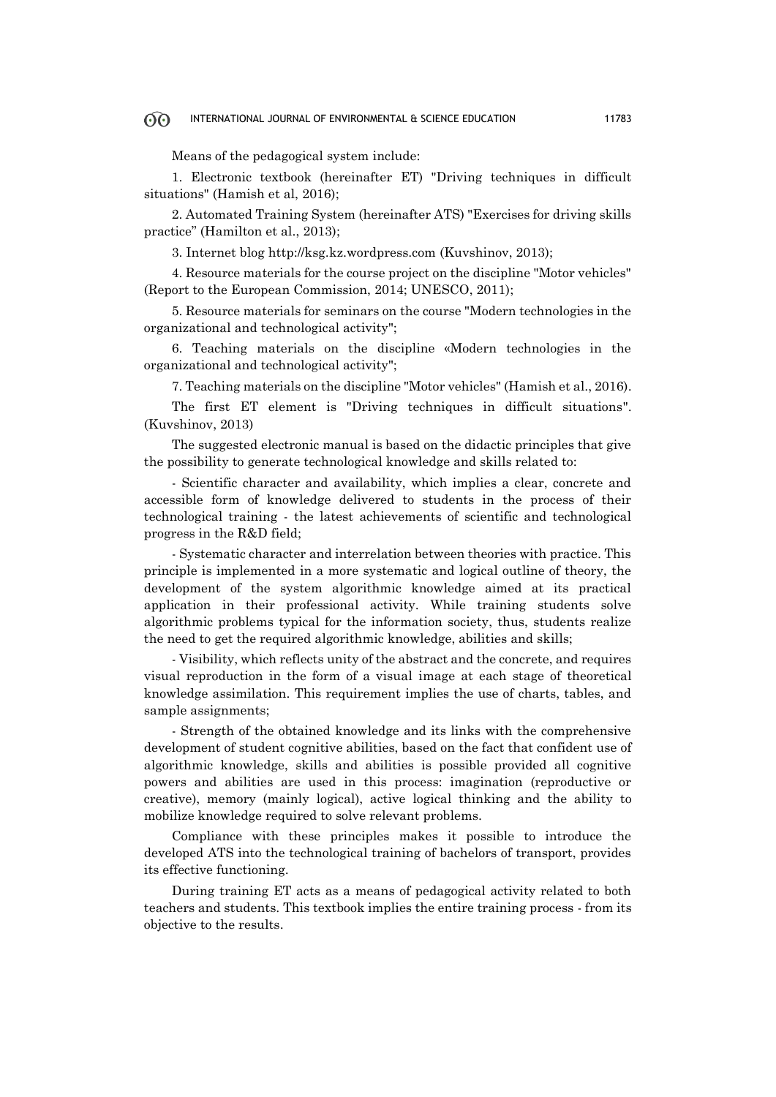Means of the pedagogical system include:

1. Electronic textbook (hereinafter ET) "Driving techniques in difficult situations" (Hamish et al, 2016);

2. Automated Training System (hereinafter ATS) "Exercises for driving skills practice" (Hamilton et al., 2013);

3. Internet blog http://ksg.kz.wordpress.com (Kuvshinov, 2013);

4. Resource materials for the course project on the discipline "Motor vehicles" (Report to the European Commission, 2014; UNESCO, 2011);

5. Resource materials for seminars on the course "Modern technologies in the organizational and technological activity";

6. Teaching materials on the discipline «Modern technologies in the organizational and technological activity";

7. Teaching materials on the discipline "Motor vehicles" (Hamish et al., 2016).

The first ET element is "Driving techniques in difficult situations". (Kuvshinov, 2013)

The suggested electronic manual is based on the didactic principles that give the possibility to generate technological knowledge and skills related to:

- Scientific character and availability, which implies a clear, concrete and accessible form of knowledge delivered to students in the process of their technological training - the latest achievements of scientific and technological progress in the R&D field;

- Systematic character and interrelation between theories with practice. This principle is implemented in a more systematic and logical outline of theory, the development of the system algorithmic knowledge aimed at its practical application in their professional activity. While training students solve algorithmic problems typical for the information society, thus, students realize the need to get the required algorithmic knowledge, abilities and skills;

- Visibility, which reflects unity of the abstract and the concrete, and requires visual reproduction in the form of a visual image at each stage of theoretical knowledge assimilation. This requirement implies the use of charts, tables, and sample assignments;

- Strength of the obtained knowledge and its links with the comprehensive development of student cognitive abilities, based on the fact that confident use of algorithmic knowledge, skills and abilities is possible provided all cognitive powers and abilities are used in this process: imagination (reproductive or creative), memory (mainly logical), active logical thinking and the ability to mobilize knowledge required to solve relevant problems.

Compliance with these principles makes it possible to introduce the developed ATS into the technological training of bachelors of transport, provides its effective functioning.

During training ET acts as a means of pedagogical activity related to both teachers and students. This textbook implies the entire training process - from its objective to the results.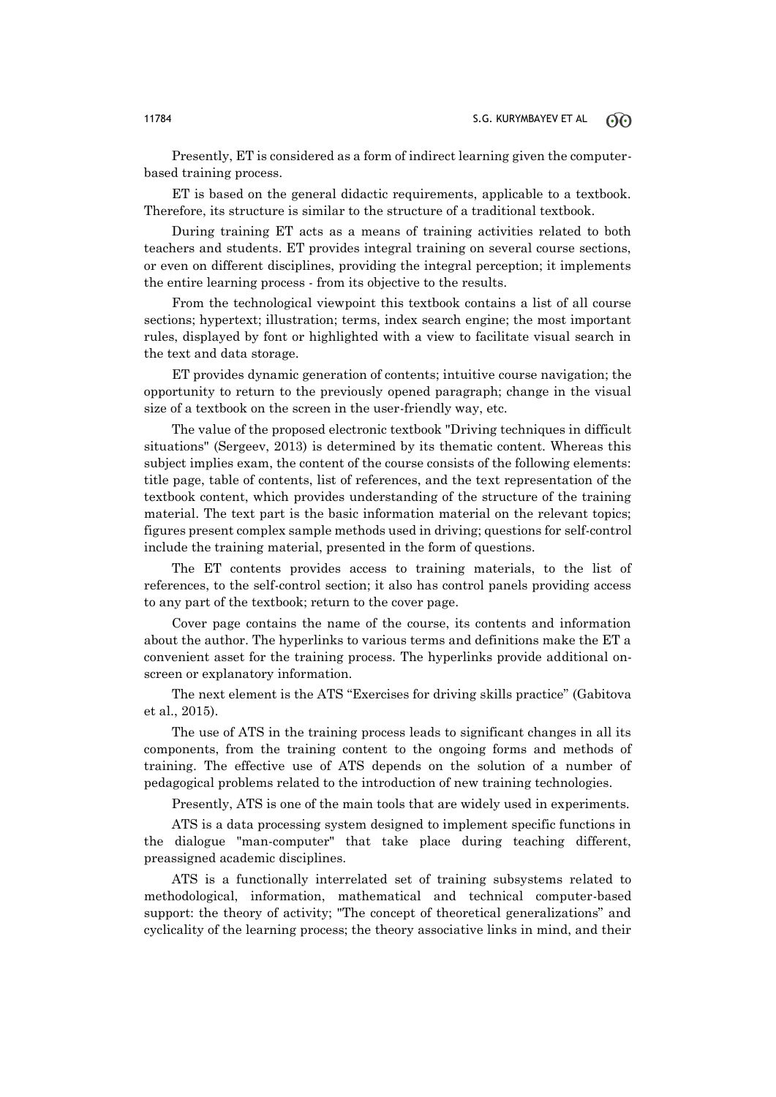Presently, ET is considered as a form of indirect learning given the computerbased training process.

ET is based on the general didactic requirements, applicable to a textbook. Therefore, its structure is similar to the structure of a traditional textbook.

During training ET acts as a means of training activities related to both teachers and students. ET provides integral training on several course sections, or even on different disciplines, providing the integral perception; it implements the entire learning process - from its objective to the results.

From the technological viewpoint this textbook contains a list of all course sections; hypertext; illustration; terms, index search engine; the most important rules, displayed by font or highlighted with a view to facilitate visual search in the text and data storage.

ET provides dynamic generation of contents; intuitive course navigation; the opportunity to return to the previously opened paragraph; change in the visual size of a textbook on the screen in the user-friendly way, etc.

The value of the proposed electronic textbook "Driving techniques in difficult situations" (Sergeev, 2013) is determined by its thematic content. Whereas this subject implies exam, the content of the course consists of the following elements: title page, table of contents, list of references, and the text representation of the textbook content, which provides understanding of the structure of the training material. The text part is the basic information material on the relevant topics; figures present complex sample methods used in driving; questions for self-control include the training material, presented in the form of questions.

The ET contents provides access to training materials, to the list of references, to the self-control section; it also has control panels providing access to any part of the textbook; return to the cover page.

Cover page contains the name of the course, its contents and information about the author. The hyperlinks to various terms and definitions make the ET a convenient asset for the training process. The hyperlinks provide additional onscreen or explanatory information.

The next element is the ATS "Exercises for driving skills practice" (Gabitova et al., 2015).

The use of ATS in the training process leads to significant changes in all its components, from the training content to the ongoing forms and methods of training. The effective use of ATS depends on the solution of a number of pedagogical problems related to the introduction of new training technologies.

Presently, ATS is one of the main tools that are widely used in experiments.

ATS is a data processing system designed to implement specific functions in the dialogue "man-computer" that take place during teaching different, preassigned academic disciplines.

ATS is a functionally interrelated set of training subsystems related to methodological, information, mathematical and technical computer-based support: the theory of activity; "The concept of theoretical generalizations" and cyclicality of the learning process; the theory associative links in mind, and their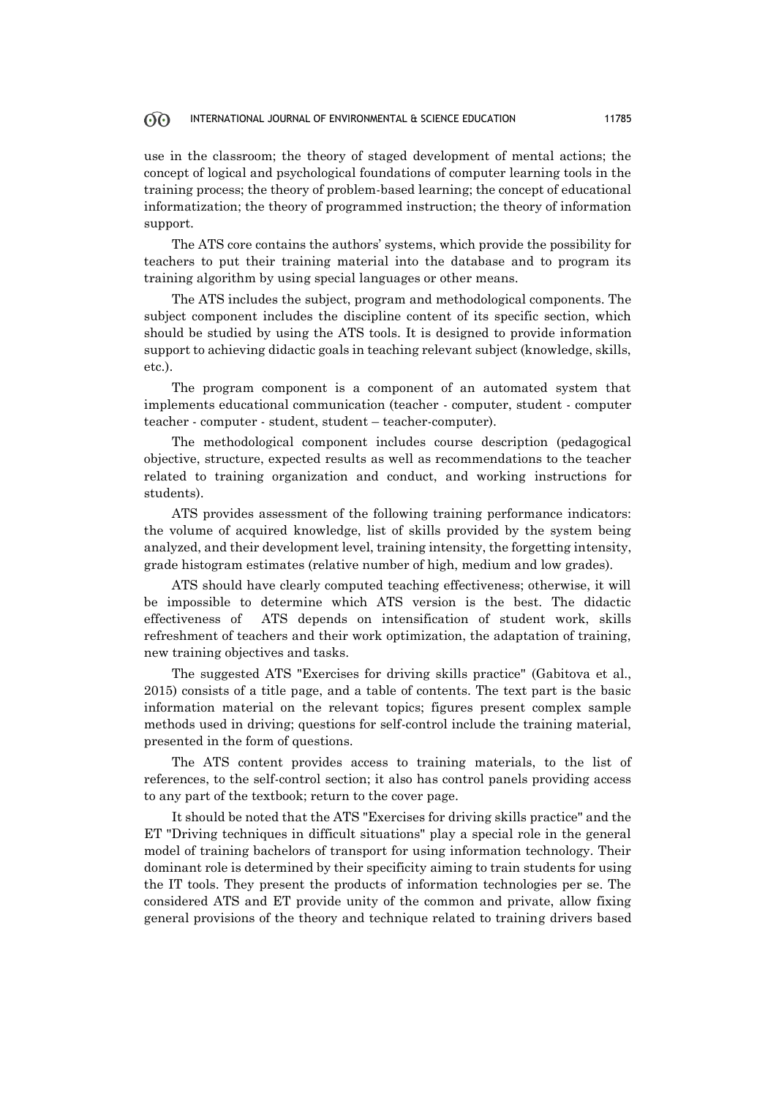use in the classroom; the theory of staged development of mental actions; the concept of logical and psychological foundations of computer learning tools in the training process; the theory of problem-based learning; the concept of educational informatization; the theory of programmed instruction; the theory of information support.

The ATS core contains the authors' systems, which provide the possibility for teachers to put their training material into the database and to program its training algorithm by using special languages or other means.

The ATS includes the subject, program and methodological components. The subject component includes the discipline content of its specific section, which should be studied by using the ATS tools. It is designed to provide information support to achieving didactic goals in teaching relevant subject (knowledge, skills, etc.).

The program component is a component of an automated system that implements educational communication (teacher - computer, student - computer teacher - computer - student, student – teacher-computer).

The methodological component includes course description (pedagogical objective, structure, expected results as well as recommendations to the teacher related to training organization and conduct, and working instructions for students).

ATS provides assessment of the following training performance indicators: the volume of acquired knowledge, list of skills provided by the system being analyzed, and their development level, training intensity, the forgetting intensity, grade histogram estimates (relative number of high, medium and low grades).

ATS should have clearly computed teaching effectiveness; otherwise, it will be impossible to determine which ATS version is the best. The didactic effectiveness of ATS depends on intensification of student work, skills refreshment of teachers and their work optimization, the adaptation of training, new training objectives and tasks.

The suggested ATS "Exercises for driving skills practice" (Gabitova et al., 2015) consists of a title page, and a table of contents. The text part is the basic information material on the relevant topics; figures present complex sample methods used in driving; questions for self-control include the training material, presented in the form of questions.

The ATS content provides access to training materials, to the list of references, to the self-control section; it also has control panels providing access to any part of the textbook; return to the cover page.

It should be noted that the ATS "Exercises for driving skills practice" and the ET "Driving techniques in difficult situations" play a special role in the general model of training bachelors of transport for using information technology. Their dominant role is determined by their specificity aiming to train students for using the IT tools. They present the products of information technologies per se. The considered ATS and ET provide unity of the common and private, allow fixing general provisions of the theory and technique related to training drivers based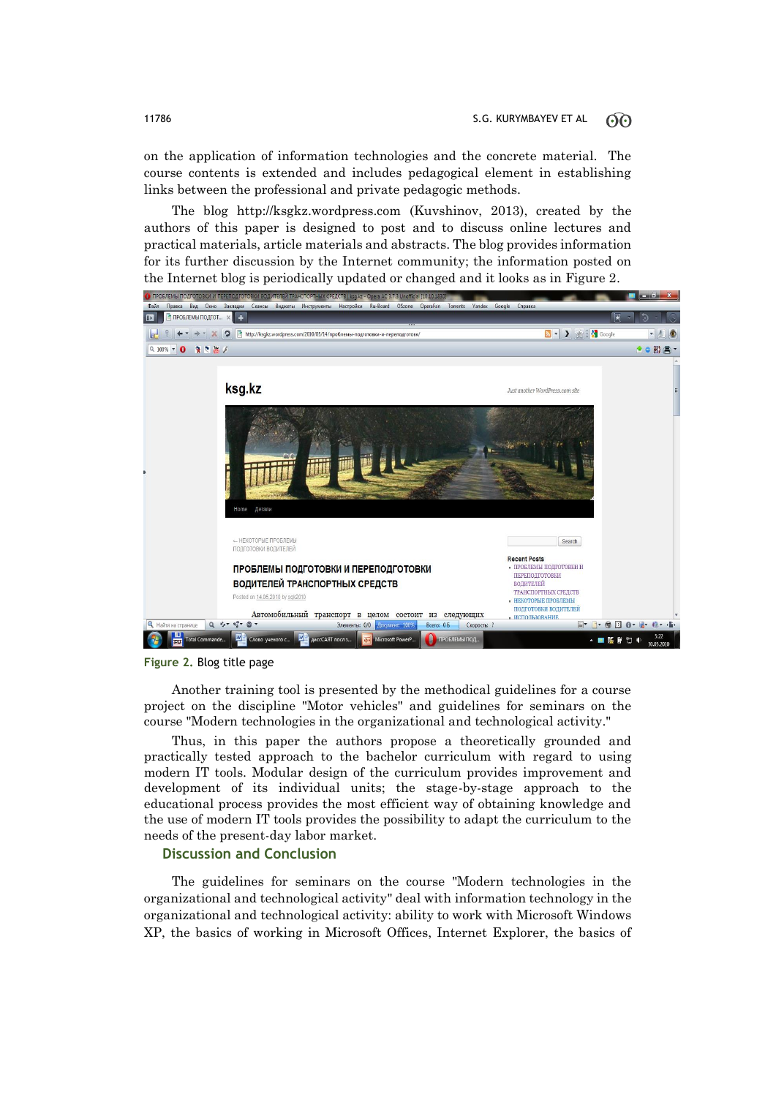on the application of information technologies and the concrete material. The course contents is extended and includes pedagogical element in establishing links between the professional and private pedagogic methods.

The blog http://ksgkz.wordpress.com (Kuvshinov, 2013), created by the authors of this paper is designed to post and to discuss online lectures and practical materials, article materials and abstracts. The blog provides information for its further discussion by the Internet community; the information posted on the Internet blog is periodically updated or changed and it looks as in Figure 2.



**Figure 2.** Blog title page

Another training tool is presented by the methodical guidelines for a course project on the discipline "Motor vehicles" and guidelines for seminars on the course "Modern technologies in the organizational and technological activity."

Thus, in this paper the authors propose a theoretically grounded and practically tested approach to the bachelor curriculum with regard to using modern IT tools. Modular design of the curriculum provides improvement and development of its individual units; the stage-by-stage approach to the educational process provides the most efficient way of obtaining knowledge and the use of modern IT tools provides the possibility to adapt the curriculum to the needs of the present-day labor market.

# **Discussion and Conclusion**

The guidelines for seminars on the course "Modern technologies in the organizational and technological activity" deal with information technology in the organizational and technological activity: ability to work with Microsoft Windows XP, the basics of working in Microsoft Offices, Internet Explorer, the basics of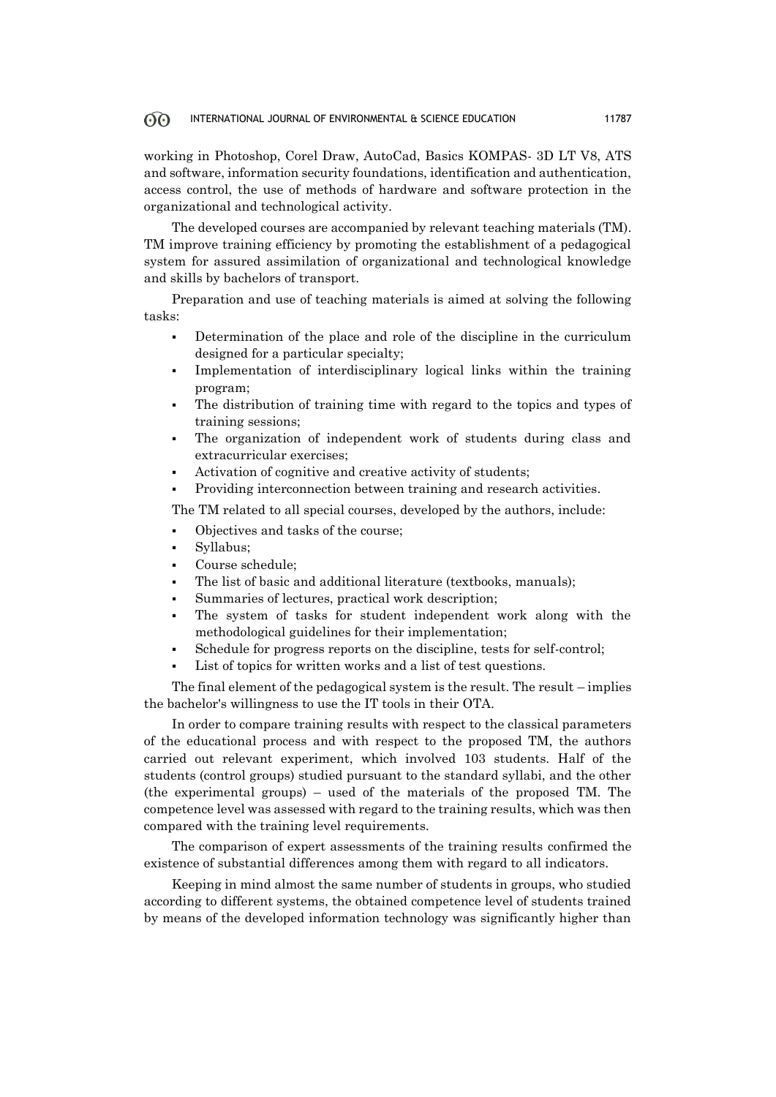working in Photoshop, Corel Draw, AutoCad, Basics KOMPAS- 3D LT V8, ATS and software, information security foundations, identification and authentication, access control, the use of methods of hardware and software protection in the organizational and technological activity.

The developed courses are accompanied by relevant teaching materials (TM). TM improve training efficiency by promoting the establishment of a pedagogical system for assured assimilation of organizational and technological knowledge and skills by bachelors of transport.

Preparation and use of teaching materials is aimed at solving the following tasks:

- Determination of the place and role of the discipline in the curriculum designed for a particular specialty;
- Implementation of interdisciplinary logical links within the training program;
- The distribution of training time with regard to the topics and types of training sessions;
- The organization of independent work of students during class and extracurricular exercises;
- Activation of cognitive and creative activity of students;
- Providing interconnection between training and research activities.

The TM related to all special courses, developed by the authors, include:

- Objectives and tasks of the course;
- Syllabus;
- Course schedule;
- The list of basic and additional literature (textbooks, manuals);
- Summaries of lectures, practical work description;
- The system of tasks for student independent work along with the methodological guidelines for their implementation;
- Schedule for progress reports on the discipline, tests for self-control;
- List of topics for written works and a list of test questions.

The final element of the pedagogical system is the result. The result – implies the bachelor's willingness to use the IT tools in their OTA.

In order to compare training results with respect to the classical parameters of the educational process and with respect to the proposed TM, the authors carried out relevant experiment, which involved 103 students. Half of the students (control groups) studied pursuant to the standard syllabi, and the other (the experimental groups) – used of the materials of the proposed TM. The competence level was assessed with regard to the training results, which was then compared with the training level requirements.

The comparison of expert assessments of the training results confirmed the existence of substantial differences among them with regard to all indicators.

Keeping in mind almost the same number of students in groups, who studied according to different systems, the obtained competence level of students trained by means of the developed information technology was significantly higher than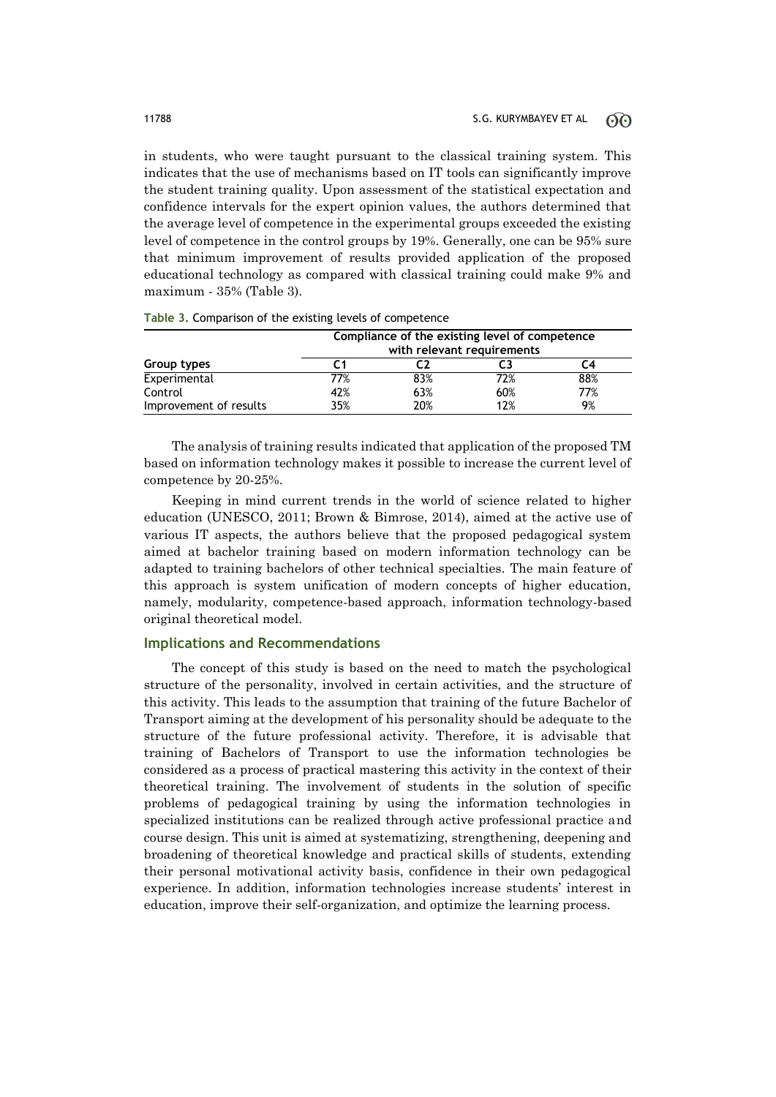in students, who were taught pursuant to the classical training system. This indicates that the use of mechanisms based on IT tools can significantly improve the student training quality. Upon assessment of the statistical expectation and confidence intervals for the expert opinion values, the authors determined that the average level of competence in the experimental groups exceeded the existing level of competence in the control groups by 19%. Generally, one can be 95% sure that minimum improvement of results provided application of the proposed educational technology as compared with classical training could make 9% and maximum - 35% (Table 3).

|                        | Compliance of the existing level of competence<br>with relevant requirements |     |     |     |  |  |  |
|------------------------|------------------------------------------------------------------------------|-----|-----|-----|--|--|--|
| Group types            |                                                                              |     |     |     |  |  |  |
| Experimental           | 77%                                                                          | 83% | 72% | 88% |  |  |  |
| Control                | 42%                                                                          | 63% | 60% | 77% |  |  |  |
| Improvement of results | 35%                                                                          | 20% | 12% | 9%  |  |  |  |

**Table 3.** Comparison of the existing levels of competence

The analysis of training results indicated that application of the proposed TM based on information technology makes it possible to increase the current level of competence by 20-25%.

Keeping in mind current trends in the world of science related to higher education (UNESCO, 2011; Brown & Bimrose, 2014), aimed at the active use of various IT aspects, the authors believe that the proposed pedagogical system aimed at bachelor training based on modern information technology can be adapted to training bachelors of other technical specialties. The main feature of this approach is system unification of modern concepts of higher education, namely, modularity, competence-based approach, information technology-based original theoretical model.

### **Implications and Recommendations**

The concept of this study is based on the need to match the psychological structure of the personality, involved in certain activities, and the structure of this activity. This leads to the assumption that training of the future Bachelor of Transport aiming at the development of his personality should be adequate to the structure of the future professional activity. Therefore, it is advisable that training of Bachelors of Transport to use the information technologies be considered as a process of practical mastering this activity in the context of their theoretical training. The involvement of students in the solution of specific problems of pedagogical training by using the information technologies in specialized institutions can be realized through active professional practice and course design. This unit is aimed at systematizing, strengthening, deepening and broadening of theoretical knowledge and practical skills of students, extending their personal motivational activity basis, confidence in their own pedagogical experience. In addition, information technologies increase students' interest in education, improve their self-organization, and optimize the learning process.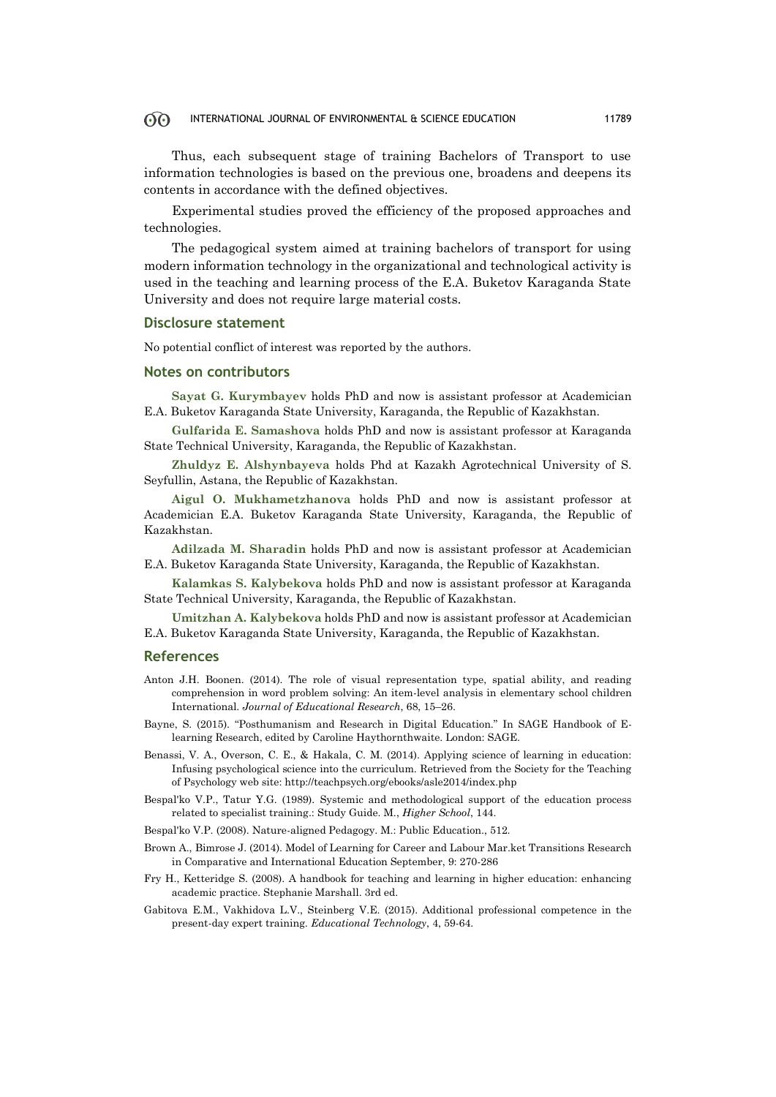Thus, each subsequent stage of training Bachelors of Transport to use information technologies is based on the previous one, broadens and deepens its contents in accordance with the defined objectives.

Experimental studies proved the efficiency of the proposed approaches and technologies.

The pedagogical system aimed at training bachelors of transport for using modern information technology in the organizational and technological activity is used in the teaching and learning process of the E.A. Buketov Karaganda State University and does not require large material costs.

### **Disclosure statement**

No potential conflict of interest was reported by the authors.

### **Notes on contributors**

**Sayat G. Kurymbayev** holds PhD and now is assistant professor at Academician E.A. Buketov Karaganda State University, Karaganda, the Republic of Kazakhstan.

**Gulfarida E. Samashova** holds PhD and now is assistant professor at Karaganda State Technical University, Karaganda, the Republic of Kazakhstan.

**Zhuldyz E. Alshynbayeva** holds Phd at Kazakh Agrotechnical University of S. Seyfullin, Astana, the Republic of Kazakhstan.

**Aigul O. Mukhametzhanova** holds PhD and now is assistant professor at Academician E.A. Buketov Karaganda State University, Karaganda, the Republic of Kazakhstan.

**Adilzada M. Sharadin** holds PhD and now is assistant professor at Academician E.A. Buketov Karaganda State University, Karaganda, the Republic of Kazakhstan.

**Kalamkas S. Kalybekova** holds PhD and now is assistant professor at Karaganda State Technical University, Karaganda, the Republic of Kazakhstan.

**Umitzhan A. Kalybekova** holds PhD and now is assistant professor at Academician E.A. Buketov Karaganda State University, Karaganda, the Republic of Kazakhstan.

### **References**

- Anton J.H. Boonen. (2014). The role of visual representation type, spatial ability, and reading comprehension in word problem solving: An item-level analysis in elementary school children International. *Journal of Educational Research*, 68, 15–26.
- Bayne, S. (2015). "Posthumanism and Research in Digital Education." In SAGE Handbook of Elearning Research, edited by Caroline Haythornthwaite. London: SAGE.
- Benassi, V. A., Overson, C. E., & Hakala, C. M. (2014). Applying science of learning in education: Infusing psychological science into the curriculum. Retrieved from the Society for the Teaching of Psychology web site: http://teachpsych.org/ebooks/asle2014/index.php
- Bespal'ko V.P., Tatur Y.G. (1989). Systemic and methodological support of the education process related to specialist training.: Study Guide. M., *Higher School*, 144.

Bespal'ko V.P. (2008). Nature-aligned Pedagogy. М.: Public Education., 512.

- Brown A., Bimrose J. (2014). Model of Learning for Career and Labour Mar.ket Transitions Research in Comparative and International Education September, 9: 270-286
- Fry H., Ketteridge S. (2008). A handbook for teaching and learning in higher education: enhancing academic practice. Stephanie Marshall. 3rd ed.
- Gabitova E.M., Vakhidova L.V., Steinberg V.E. (2015). Additional professional competence in the present-day expert training. *Educational Technology*, 4, 59-64.